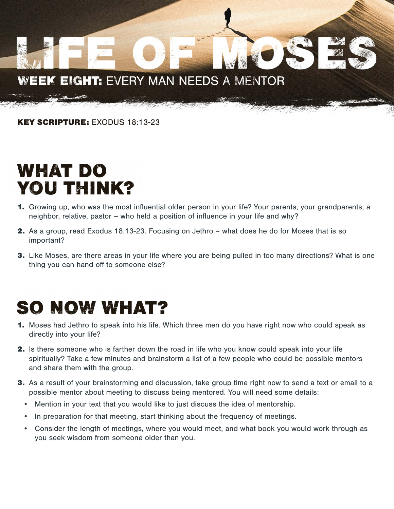#### WEEK EIGHT: EVERY MAN NEEDS A MENTOR

KEY SCRIPTURE: EXODUS 18:13-23

#### WHAT DO **YOU THINK?**

- 1. Growing up, who was the most influential older person in your life? Your parents, your grandparents, a neighbor, relative, pastor – who held a position of influence in your life and why?
- 2. As a group, read Exodus 18:13-23. Focusing on Jethro what does he do for Moses that is so important?
- **3.** Like Moses, are there areas in your life where you are being pulled in too many directions? What is one thing you can hand off to someone else?

### **SO NOW WHAT?**

- 1. Moses had Jethro to speak into his life. Which three men do you have right now who could speak as directly into your life?
- 2. Is there someone who is farther down the road in life who you know could speak into your life spiritually? Take a few minutes and brainstorm a list of a few people who could be possible mentors and share them with the group.
- **3.** As a result of your brainstorming and discussion, take group time right now to send a text or email to a possible mentor about meeting to discuss being mentored. You will need some details:
	- Mention in your text that you would like to just discuss the idea of mentorship.
	- In preparation for that meeting, start thinking about the frequency of meetings.
	- Consider the length of meetings, where you would meet, and what book you would work through as you seek wisdom from someone older than you.